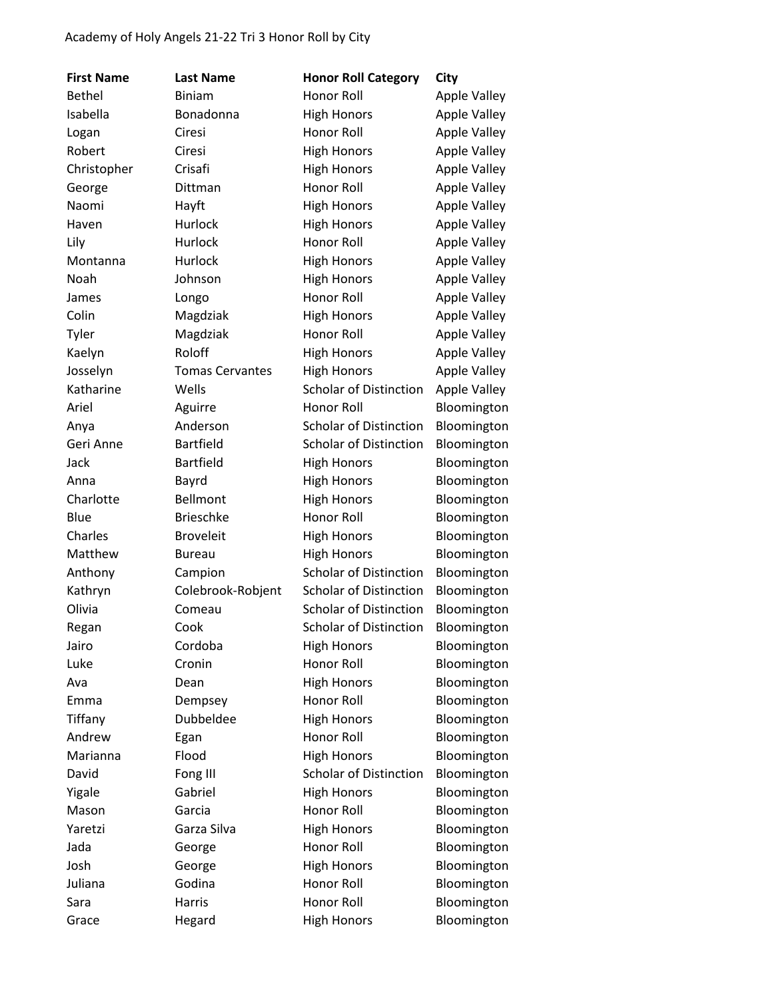| <b>First Name</b> | <b>Last Name</b>       | <b>Honor Roll Category</b>    | City                |
|-------------------|------------------------|-------------------------------|---------------------|
| <b>Bethel</b>     | <b>Biniam</b>          | Honor Roll                    | <b>Apple Valley</b> |
| Isabella          | Bonadonna              | <b>High Honors</b>            | <b>Apple Valley</b> |
| Logan             | Ciresi                 | Honor Roll                    | <b>Apple Valley</b> |
| Robert            | Ciresi                 | <b>High Honors</b>            | <b>Apple Valley</b> |
| Christopher       | Crisafi                | <b>High Honors</b>            | <b>Apple Valley</b> |
| George            | Dittman                | Honor Roll                    | <b>Apple Valley</b> |
| Naomi             | Hayft                  | <b>High Honors</b>            | <b>Apple Valley</b> |
| Haven             | Hurlock                | <b>High Honors</b>            | <b>Apple Valley</b> |
| Lily              | Hurlock                | Honor Roll                    | <b>Apple Valley</b> |
| Montanna          | Hurlock                | <b>High Honors</b>            | <b>Apple Valley</b> |
| Noah              | Johnson                | <b>High Honors</b>            | <b>Apple Valley</b> |
| James             | Longo                  | Honor Roll                    | <b>Apple Valley</b> |
| Colin             | Magdziak               | <b>High Honors</b>            | <b>Apple Valley</b> |
| Tyler             | Magdziak               | Honor Roll                    | <b>Apple Valley</b> |
| Kaelyn            | Roloff                 | <b>High Honors</b>            | <b>Apple Valley</b> |
| Josselyn          | <b>Tomas Cervantes</b> | <b>High Honors</b>            | <b>Apple Valley</b> |
| Katharine         | Wells                  | <b>Scholar of Distinction</b> | <b>Apple Valley</b> |
| Ariel             | Aguirre                | Honor Roll                    | Bloomington         |
| Anya              | Anderson               | <b>Scholar of Distinction</b> | Bloomington         |
| Geri Anne         | <b>Bartfield</b>       | <b>Scholar of Distinction</b> | Bloomington         |
| Jack              | <b>Bartfield</b>       | <b>High Honors</b>            | Bloomington         |
| Anna              | Bayrd                  | <b>High Honors</b>            | Bloomington         |
| Charlotte         | Bellmont               | <b>High Honors</b>            | Bloomington         |
| Blue              | <b>Brieschke</b>       | Honor Roll                    | Bloomington         |
| Charles           | <b>Broveleit</b>       | <b>High Honors</b>            | Bloomington         |
| Matthew           | <b>Bureau</b>          | <b>High Honors</b>            | Bloomington         |
| Anthony           | Campion                | <b>Scholar of Distinction</b> | Bloomington         |
| Kathryn           | Colebrook-Robjent      | <b>Scholar of Distinction</b> | Bloomington         |
| Olivia            | Comeau                 | <b>Scholar of Distinction</b> | Bloomington         |
| Regan             | Cook                   | <b>Scholar of Distinction</b> | Bloomington         |
| Jairo             | Cordoba                | <b>High Honors</b>            | Bloomington         |
| Luke              | Cronin                 | Honor Roll                    | Bloomington         |
| Ava               | Dean                   | <b>High Honors</b>            | Bloomington         |
| Emma              | Dempsey                | <b>Honor Roll</b>             | Bloomington         |
| Tiffany           | Dubbeldee              | <b>High Honors</b>            | Bloomington         |
| Andrew            | Egan                   | Honor Roll                    | Bloomington         |
| Marianna          | Flood                  | <b>High Honors</b>            | Bloomington         |
| David             | Fong III               | <b>Scholar of Distinction</b> | Bloomington         |
| Yigale            | Gabriel                | <b>High Honors</b>            | Bloomington         |
| Mason             | Garcia                 | Honor Roll                    | Bloomington         |
| Yaretzi           | Garza Silva            | <b>High Honors</b>            | Bloomington         |
| Jada              | George                 | Honor Roll                    | Bloomington         |
| Josh              | George                 | <b>High Honors</b>            | Bloomington         |
| Juliana           | Godina                 | Honor Roll                    | Bloomington         |
| Sara              | Harris                 | Honor Roll                    | Bloomington         |
| Grace             | Hegard                 | <b>High Honors</b>            | Bloomington         |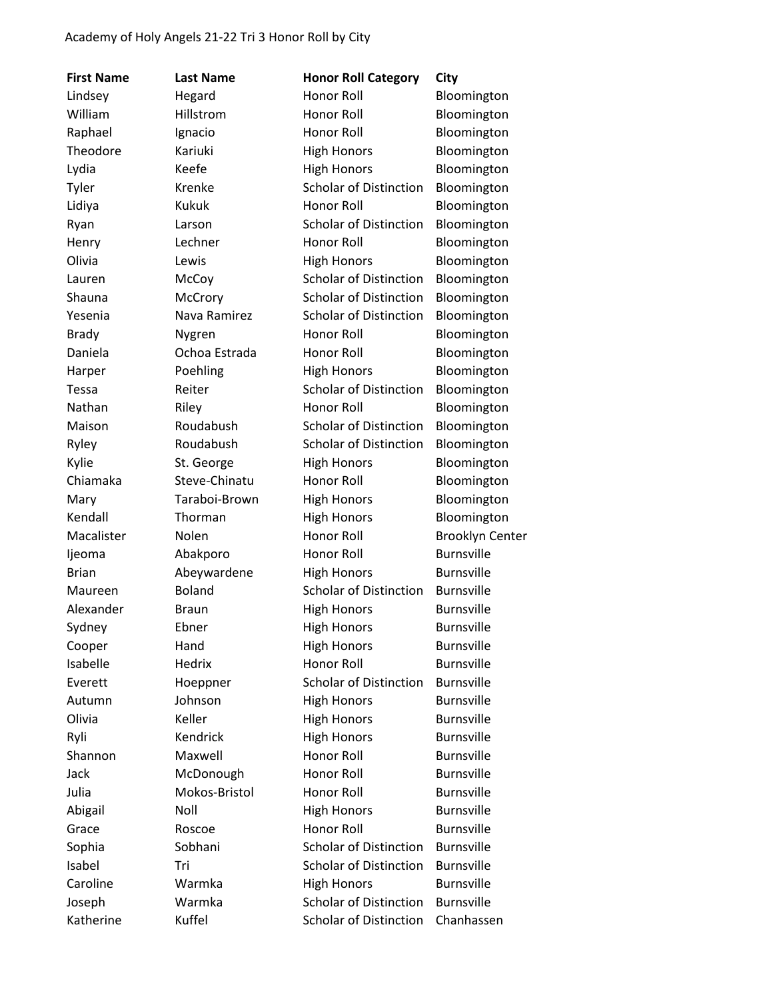| <b>First Name</b> | <b>Last Name</b>        | <b>Honor Roll Category</b>    | City                   |
|-------------------|-------------------------|-------------------------------|------------------------|
| Lindsey           | Hegard                  | Honor Roll                    | Bloomington            |
| William           | Hillstrom               | Honor Roll                    | Bloomington            |
| Raphael           | Ignacio                 | Honor Roll                    | Bloomington            |
| Theodore          | Kariuki                 | <b>High Honors</b>            | Bloomington            |
| Lydia             | Keefe                   | <b>High Honors</b>            | Bloomington            |
| Tyler             | Krenke                  | <b>Scholar of Distinction</b> | Bloomington            |
| Lidiya            | <b>Kukuk</b>            | <b>Honor Roll</b>             | Bloomington            |
| Ryan              | Larson                  | <b>Scholar of Distinction</b> | Bloomington            |
| Henry             | Lechner                 | Honor Roll                    | Bloomington            |
| Olivia            | Lewis                   | <b>High Honors</b>            | Bloomington            |
| Lauren            | McCoy                   | <b>Scholar of Distinction</b> |                        |
| Shauna            |                         | <b>Scholar of Distinction</b> | Bloomington            |
|                   | McCrory<br>Nava Ramirez | <b>Scholar of Distinction</b> | Bloomington            |
| Yesenia           |                         |                               | Bloomington            |
| <b>Brady</b>      | Nygren                  | Honor Roll                    | Bloomington            |
| Daniela           | Ochoa Estrada           | Honor Roll                    | Bloomington            |
| Harper            | Poehling                | <b>High Honors</b>            | Bloomington            |
| <b>Tessa</b>      | Reiter                  | <b>Scholar of Distinction</b> | Bloomington            |
| Nathan            | Riley                   | Honor Roll                    | Bloomington            |
| Maison            | Roudabush               | <b>Scholar of Distinction</b> | Bloomington            |
| Ryley             | Roudabush               | <b>Scholar of Distinction</b> | Bloomington            |
| Kylie             | St. George              | <b>High Honors</b>            | Bloomington            |
| Chiamaka          | Steve-Chinatu           | Honor Roll                    | Bloomington            |
| Mary              | Taraboi-Brown           | <b>High Honors</b>            | Bloomington            |
| Kendall           | Thorman                 | <b>High Honors</b>            | Bloomington            |
| Macalister        | Nolen                   | Honor Roll                    | <b>Brooklyn Center</b> |
| ljeoma            | Abakporo                | Honor Roll                    | <b>Burnsville</b>      |
| <b>Brian</b>      | Abeywardene             | <b>High Honors</b>            | <b>Burnsville</b>      |
| Maureen           | <b>Boland</b>           | <b>Scholar of Distinction</b> | <b>Burnsville</b>      |
| Alexander         | <b>Braun</b>            | <b>High Honors</b>            | <b>Burnsville</b>      |
| Sydney            | Ebner                   | <b>High Honors</b>            | <b>Burnsville</b>      |
| Cooper            | Hand                    | <b>High Honors</b>            | <b>Burnsville</b>      |
| Isabelle          | Hedrix                  | Honor Roll                    | <b>Burnsville</b>      |
| Everett           | Hoeppner                | <b>Scholar of Distinction</b> | <b>Burnsville</b>      |
| Autumn            | Johnson                 | <b>High Honors</b>            | <b>Burnsville</b>      |
| Olivia            | Keller                  | <b>High Honors</b>            | <b>Burnsville</b>      |
| Ryli              | Kendrick                | <b>High Honors</b>            | <b>Burnsville</b>      |
| Shannon           | Maxwell                 | <b>Honor Roll</b>             | <b>Burnsville</b>      |
| Jack              | McDonough               | Honor Roll                    | <b>Burnsville</b>      |
| Julia             | Mokos-Bristol           | Honor Roll                    | <b>Burnsville</b>      |
| Abigail           | Noll                    | <b>High Honors</b>            | <b>Burnsville</b>      |
| Grace             | Roscoe                  | Honor Roll                    | <b>Burnsville</b>      |
| Sophia            | Sobhani                 | <b>Scholar of Distinction</b> | <b>Burnsville</b>      |
| Isabel            | Tri                     | <b>Scholar of Distinction</b> | <b>Burnsville</b>      |
| Caroline          | Warmka                  | <b>High Honors</b>            | <b>Burnsville</b>      |
| Joseph            | Warmka                  | <b>Scholar of Distinction</b> | <b>Burnsville</b>      |
| Katherine         | Kuffel                  | <b>Scholar of Distinction</b> | Chanhassen             |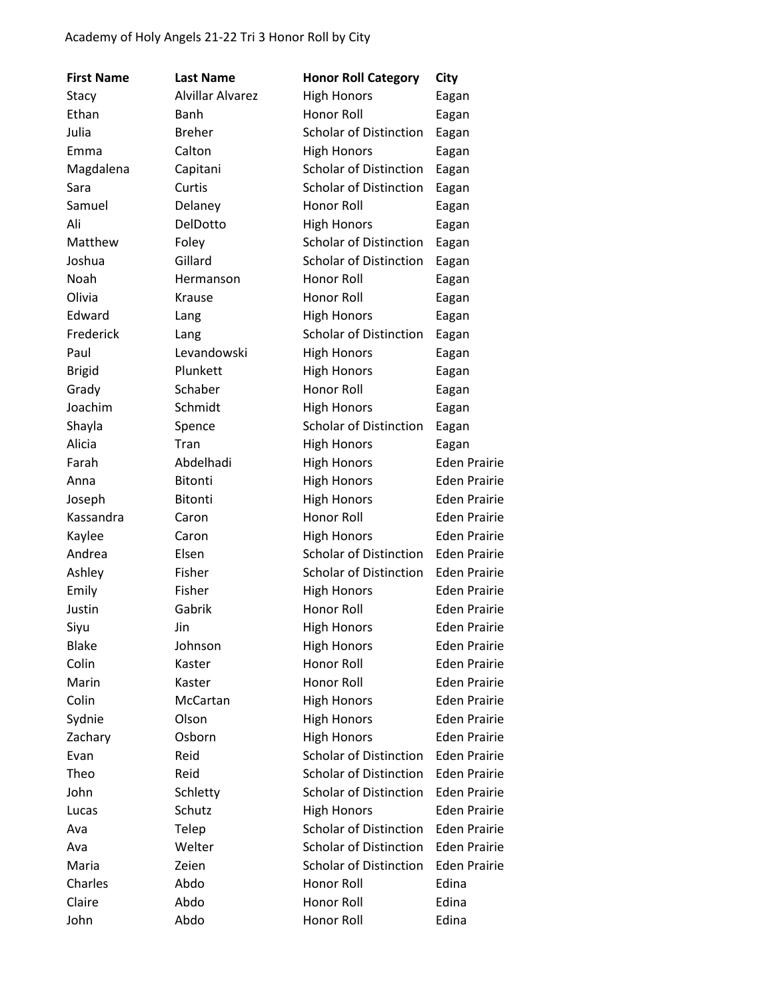| <b>First Name</b> | <b>Last Name</b>        | <b>Honor Roll Category</b>    | City                |
|-------------------|-------------------------|-------------------------------|---------------------|
| Stacy             | <b>Alvillar Alvarez</b> | <b>High Honors</b>            | Eagan               |
| Ethan             | Banh                    | Honor Roll                    | Eagan               |
| Julia             | <b>Breher</b>           | <b>Scholar of Distinction</b> | Eagan               |
| Emma              | Calton                  | <b>High Honors</b>            | Eagan               |
| Magdalena         | Capitani                | <b>Scholar of Distinction</b> | Eagan               |
| Sara              | Curtis                  | <b>Scholar of Distinction</b> | Eagan               |
| Samuel            | Delaney                 | Honor Roll                    | Eagan               |
| Ali               | DelDotto                | <b>High Honors</b>            | Eagan               |
| Matthew           | Foley                   | <b>Scholar of Distinction</b> | Eagan               |
| Joshua            | Gillard                 | <b>Scholar of Distinction</b> | Eagan               |
| Noah              | Hermanson               | Honor Roll                    | Eagan               |
| Olivia            | Krause                  | Honor Roll                    | Eagan               |
| Edward            | Lang                    | <b>High Honors</b>            | Eagan               |
| Frederick         | Lang                    | <b>Scholar of Distinction</b> | Eagan               |
| Paul              | Levandowski             | <b>High Honors</b>            | Eagan               |
| <b>Brigid</b>     | Plunkett                | <b>High Honors</b>            | Eagan               |
| Grady             | Schaber                 | <b>Honor Roll</b>             | Eagan               |
| Joachim           | Schmidt                 | <b>High Honors</b>            | Eagan               |
| Shayla            | Spence                  | <b>Scholar of Distinction</b> | Eagan               |
| Alicia            | Tran                    | <b>High Honors</b>            | Eagan               |
| Farah             | Abdelhadi               | <b>High Honors</b>            | <b>Eden Prairie</b> |
| Anna              | <b>Bitonti</b>          | <b>High Honors</b>            | <b>Eden Prairie</b> |
| Joseph            | <b>Bitonti</b>          | <b>High Honors</b>            | <b>Eden Prairie</b> |
| Kassandra         | Caron                   | Honor Roll                    | <b>Eden Prairie</b> |
| Kaylee            | Caron                   | <b>High Honors</b>            | <b>Eden Prairie</b> |
| Andrea            | Elsen                   | <b>Scholar of Distinction</b> | <b>Eden Prairie</b> |
| Ashley            | Fisher                  | <b>Scholar of Distinction</b> | <b>Eden Prairie</b> |
| Emily             | Fisher                  | <b>High Honors</b>            | <b>Eden Prairie</b> |
| Justin            | Gabrik                  | Honor Roll                    | <b>Eden Prairie</b> |
| Siyu              | Jin                     | <b>High Honors</b>            | <b>Eden Prairie</b> |
| <b>Blake</b>      | Johnson                 | <b>High Honors</b>            | <b>Eden Prairie</b> |
| Colin             | Kaster                  | Honor Roll                    | <b>Eden Prairie</b> |
| Marin             | Kaster                  | Honor Roll                    | <b>Eden Prairie</b> |
| Colin             | McCartan                | <b>High Honors</b>            | <b>Eden Prairie</b> |
| Sydnie            | Olson                   | <b>High Honors</b>            | <b>Eden Prairie</b> |
| Zachary           | Osborn                  | <b>High Honors</b>            | <b>Eden Prairie</b> |
| Evan              | Reid                    | <b>Scholar of Distinction</b> | <b>Eden Prairie</b> |
| Theo              | Reid                    | <b>Scholar of Distinction</b> | <b>Eden Prairie</b> |
| John              | Schletty                | <b>Scholar of Distinction</b> | <b>Eden Prairie</b> |
| Lucas             | Schutz                  | <b>High Honors</b>            | <b>Eden Prairie</b> |
| Ava               | Telep                   | <b>Scholar of Distinction</b> | <b>Eden Prairie</b> |
| Ava               | Welter                  | <b>Scholar of Distinction</b> | <b>Eden Prairie</b> |
| Maria             | Zeien                   | <b>Scholar of Distinction</b> | <b>Eden Prairie</b> |
| Charles           | Abdo                    | Honor Roll                    | Edina               |
| Claire            | Abdo                    | Honor Roll                    | Edina               |
| John              | Abdo                    | Honor Roll                    | Edina               |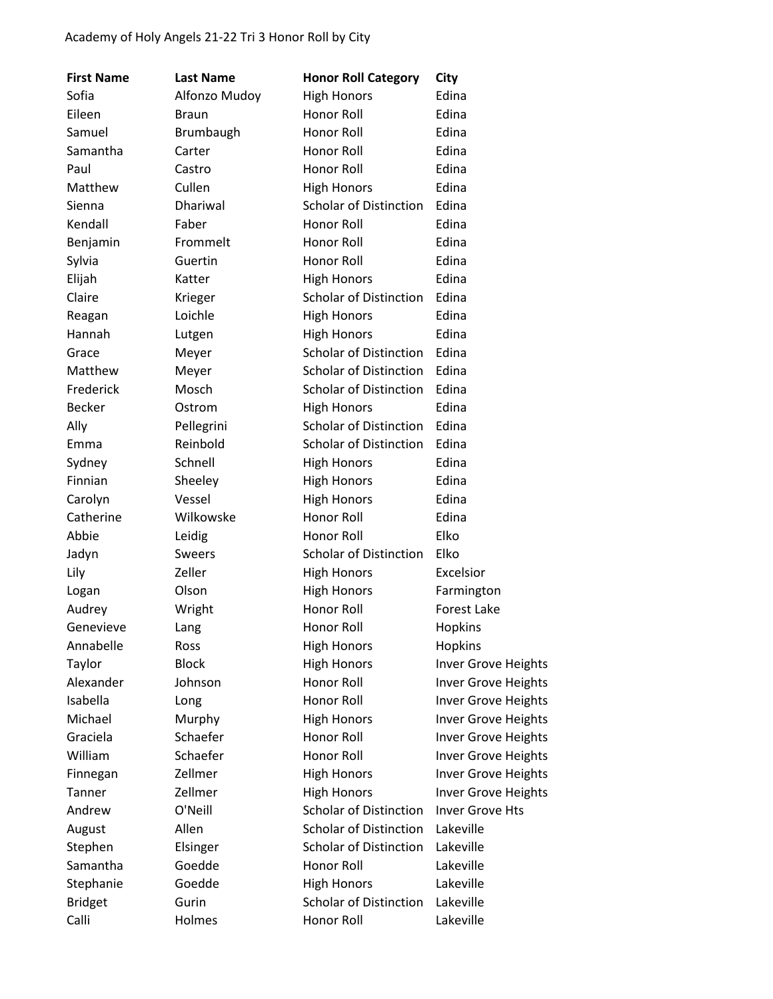| <b>First Name</b> | <b>Last Name</b> | <b>Honor Roll Category</b>    | City                |
|-------------------|------------------|-------------------------------|---------------------|
| Sofia             | Alfonzo Mudoy    | <b>High Honors</b>            | Edina               |
| Eileen            | <b>Braun</b>     | Honor Roll                    | Edina               |
| Samuel            | Brumbaugh        | Honor Roll                    | Edina               |
| Samantha          | Carter           | Honor Roll                    | Edina               |
| Paul              | Castro           | Honor Roll                    | Edina               |
| Matthew           | Cullen           | <b>High Honors</b>            | Edina               |
| Sienna            | Dhariwal         | Scholar of Distinction        | Edina               |
| Kendall           | Faber            | Honor Roll                    | Edina               |
| Benjamin          | Frommelt         | Honor Roll                    | Edina               |
| Sylvia            | Guertin          | Honor Roll                    | Edina               |
| Elijah            | Katter           | <b>High Honors</b>            | Edina               |
| Claire            | Krieger          | <b>Scholar of Distinction</b> | Edina               |
| Reagan            | Loichle          | <b>High Honors</b>            | Edina               |
| Hannah            | Lutgen           | <b>High Honors</b>            | Edina               |
| Grace             | Meyer            | <b>Scholar of Distinction</b> | Edina               |
| Matthew           | Meyer            | <b>Scholar of Distinction</b> | Edina               |
| Frederick         | Mosch            | <b>Scholar of Distinction</b> | Edina               |
| <b>Becker</b>     | Ostrom           | <b>High Honors</b>            | Edina               |
| Ally              | Pellegrini       | <b>Scholar of Distinction</b> | Edina               |
| Emma              | Reinbold         | <b>Scholar of Distinction</b> | Edina               |
| Sydney            | Schnell          | <b>High Honors</b>            | Edina               |
| Finnian           | Sheeley          | <b>High Honors</b>            | Edina               |
| Carolyn           | Vessel           | <b>High Honors</b>            | Edina               |
| Catherine         | Wilkowske        | Honor Roll                    | Edina               |
| Abbie             | Leidig           | Honor Roll                    | Elko                |
| Jadyn             | <b>Sweers</b>    | <b>Scholar of Distinction</b> | Elko                |
| Lily              | Zeller           | <b>High Honors</b>            | Excelsior           |
| Logan             | Olson            | <b>High Honors</b>            | Farmington          |
| Audrey            | Wright           | Honor Roll                    | <b>Forest Lake</b>  |
| Genevieve         | Lang             | Honor Roll                    | Hopkins             |
| Annabelle         | Ross             | <b>High Honors</b>            | Hopkins             |
| Taylor            | <b>Block</b>     | <b>High Honors</b>            | Inver Grove Heights |
| Alexander         | Johnson          | Honor Roll                    | Inver Grove Heights |
| Isabella          | Long             | Honor Roll                    | Inver Grove Heights |
| Michael           | Murphy           | <b>High Honors</b>            | Inver Grove Heights |
| Graciela          | Schaefer         | Honor Roll                    | Inver Grove Heights |
| William           | Schaefer         | <b>Honor Roll</b>             | Inver Grove Heights |
| Finnegan          | Zellmer          | <b>High Honors</b>            | Inver Grove Heights |
| Tanner            | Zellmer          | <b>High Honors</b>            | Inver Grove Heights |
| Andrew            | O'Neill          | <b>Scholar of Distinction</b> | Inver Grove Hts     |
| August            | Allen            | <b>Scholar of Distinction</b> | Lakeville           |
| Stephen           | Elsinger         | <b>Scholar of Distinction</b> | Lakeville           |
| Samantha          | Goedde           | Honor Roll                    | Lakeville           |
| Stephanie         | Goedde           | <b>High Honors</b>            | Lakeville           |
| <b>Bridget</b>    | Gurin            | <b>Scholar of Distinction</b> | Lakeville           |
| Calli             | Holmes           | Honor Roll                    | Lakeville           |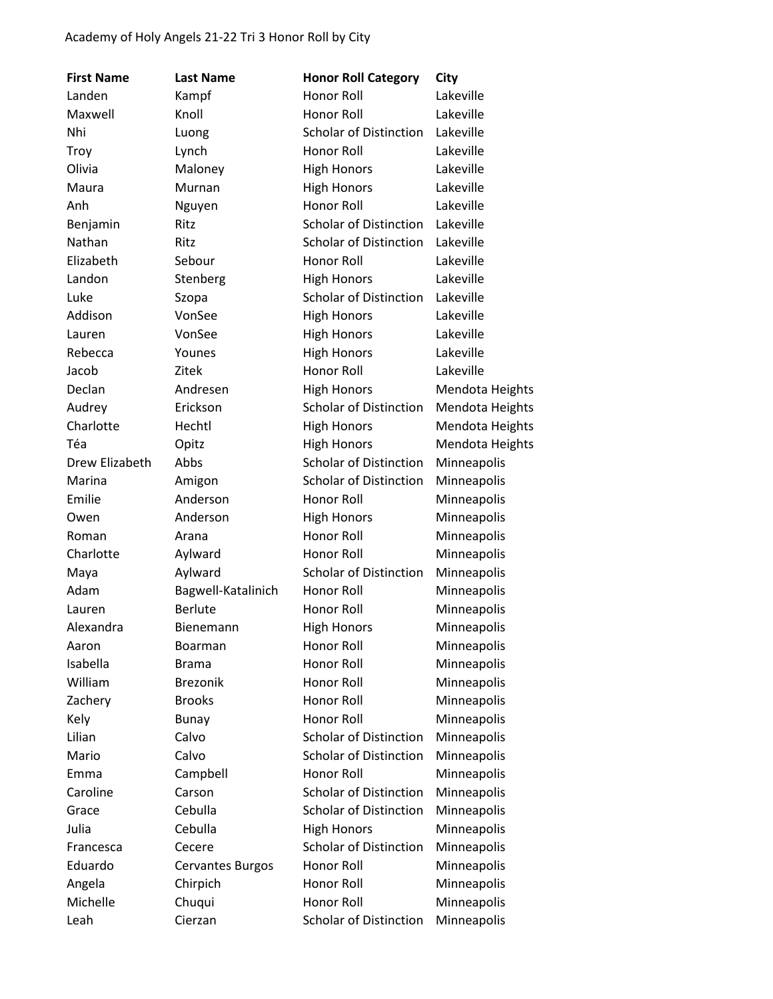| <b>First Name</b> | <b>Last Name</b>        | <b>Honor Roll Category</b>    | City            |
|-------------------|-------------------------|-------------------------------|-----------------|
| Landen            | Kampf                   | Honor Roll                    | Lakeville       |
| Maxwell           | Knoll                   | Honor Roll                    | Lakeville       |
| Nhi               | Luong                   | <b>Scholar of Distinction</b> | Lakeville       |
| Troy              | Lynch                   | Honor Roll                    | Lakeville       |
| Olivia            | Maloney                 | <b>High Honors</b>            | Lakeville       |
| Maura             | Murnan                  | <b>High Honors</b>            | Lakeville       |
| Anh               | Nguyen                  | Honor Roll                    | Lakeville       |
| Benjamin          | Ritz                    | <b>Scholar of Distinction</b> | Lakeville       |
| Nathan            | Ritz                    | <b>Scholar of Distinction</b> | Lakeville       |
| Elizabeth         | Sebour                  | Honor Roll                    | Lakeville       |
| Landon            | Stenberg                | <b>High Honors</b>            | Lakeville       |
| Luke              | Szopa                   | Scholar of Distinction        | Lakeville       |
| Addison           | VonSee                  | <b>High Honors</b>            | Lakeville       |
| Lauren            | VonSee                  | <b>High Honors</b>            | Lakeville       |
| Rebecca           | Younes                  | <b>High Honors</b>            | Lakeville       |
| Jacob             | Zitek                   | Honor Roll                    | Lakeville       |
| Declan            | Andresen                | <b>High Honors</b>            | Mendota Heights |
| Audrey            | Erickson                | <b>Scholar of Distinction</b> | Mendota Heights |
| Charlotte         | Hechtl                  | <b>High Honors</b>            | Mendota Heights |
| Téa               | Opitz                   | <b>High Honors</b>            | Mendota Heights |
| Drew Elizabeth    | Abbs                    | <b>Scholar of Distinction</b> | Minneapolis     |
| Marina            | Amigon                  | <b>Scholar of Distinction</b> | Minneapolis     |
| Emilie            | Anderson                | Honor Roll                    | Minneapolis     |
| Owen              | Anderson                | <b>High Honors</b>            | Minneapolis     |
| Roman             | Arana                   | Honor Roll                    | Minneapolis     |
| Charlotte         | Aylward                 | Honor Roll                    | Minneapolis     |
| Maya              | Aylward                 | <b>Scholar of Distinction</b> | Minneapolis     |
| Adam              | Bagwell-Katalinich      | Honor Roll                    | Minneapolis     |
| Lauren            | <b>Berlute</b>          | Honor Roll                    | Minneapolis     |
| Alexandra         | Bienemann               | <b>High Honors</b>            | Minneapolis     |
| Aaron             | <b>Boarman</b>          | Honor Roll                    | Minneapolis     |
| Isabella          | <b>Brama</b>            | <b>Honor Roll</b>             | Minneapolis     |
| William           | <b>Brezonik</b>         | Honor Roll                    | Minneapolis     |
| Zachery           | <b>Brooks</b>           | <b>Honor Roll</b>             | Minneapolis     |
| Kely              | <b>Bunay</b>            | Honor Roll                    | Minneapolis     |
| Lilian            | Calvo                   | <b>Scholar of Distinction</b> | Minneapolis     |
| Mario             | Calvo                   | <b>Scholar of Distinction</b> | Minneapolis     |
| Emma              | Campbell                | Honor Roll                    | Minneapolis     |
| Caroline          | Carson                  | <b>Scholar of Distinction</b> | Minneapolis     |
| Grace             | Cebulla                 | <b>Scholar of Distinction</b> | Minneapolis     |
| Julia             | Cebulla                 | <b>High Honors</b>            | Minneapolis     |
| Francesca         | Cecere                  | <b>Scholar of Distinction</b> | Minneapolis     |
| Eduardo           | <b>Cervantes Burgos</b> | Honor Roll                    | Minneapolis     |
| Angela            | Chirpich                | Honor Roll                    | Minneapolis     |
| Michelle          | Chuqui                  | Honor Roll                    | Minneapolis     |
| Leah              | Cierzan                 | <b>Scholar of Distinction</b> | Minneapolis     |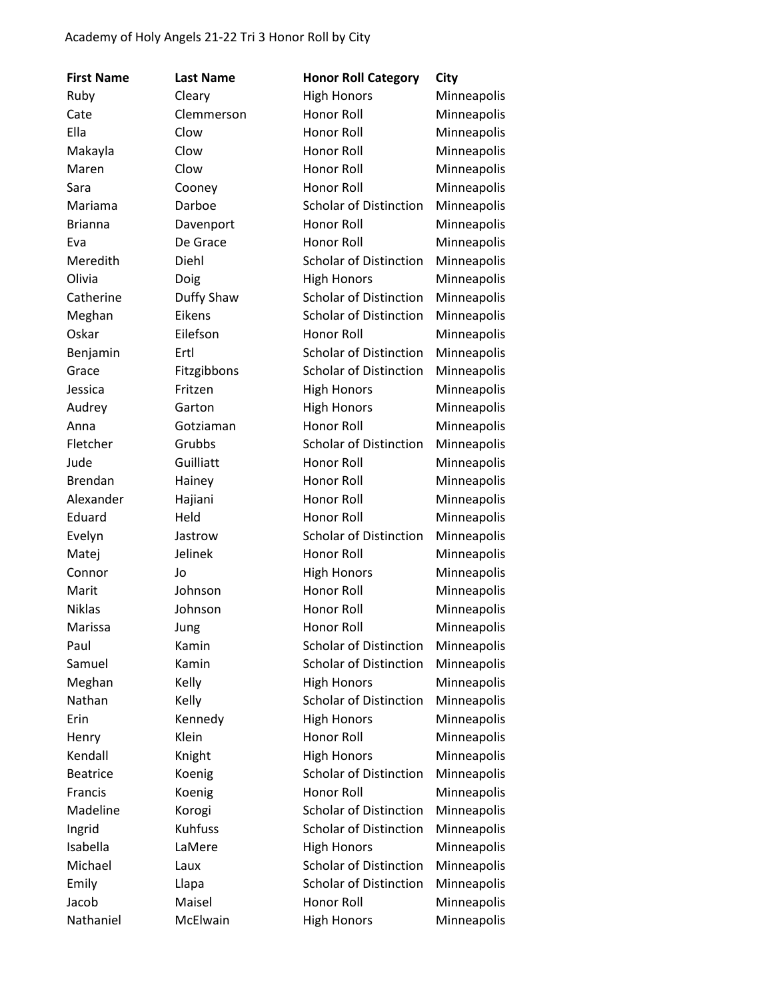| <b>First Name</b> | <b>Last Name</b> | <b>Honor Roll Category</b>    | City        |
|-------------------|------------------|-------------------------------|-------------|
| Ruby              | Cleary           | <b>High Honors</b>            | Minneapolis |
| Cate              | Clemmerson       | Honor Roll                    | Minneapolis |
| Ella              | Clow             | Honor Roll                    | Minneapolis |
| Makayla           | Clow             | Honor Roll                    | Minneapolis |
| Maren             | Clow             | Honor Roll                    | Minneapolis |
| Sara              | Cooney           | Honor Roll                    | Minneapolis |
| Mariama           | Darboe           | <b>Scholar of Distinction</b> | Minneapolis |
| <b>Brianna</b>    | Davenport        | Honor Roll                    | Minneapolis |
| Eva               | De Grace         | Honor Roll                    | Minneapolis |
| Meredith          | Diehl            | <b>Scholar of Distinction</b> | Minneapolis |
| Olivia            | Doig             | <b>High Honors</b>            | Minneapolis |
| Catherine         | Duffy Shaw       | <b>Scholar of Distinction</b> | Minneapolis |
| Meghan            | Eikens           | <b>Scholar of Distinction</b> | Minneapolis |
| Oskar             | Eilefson         | Honor Roll                    | Minneapolis |
| Benjamin          | Ertl             | <b>Scholar of Distinction</b> | Minneapolis |
| Grace             | Fitzgibbons      | <b>Scholar of Distinction</b> | Minneapolis |
| Jessica           | Fritzen          | <b>High Honors</b>            | Minneapolis |
| Audrey            | Garton           | <b>High Honors</b>            | Minneapolis |
| Anna              | Gotziaman        | Honor Roll                    | Minneapolis |
| Fletcher          | Grubbs           | <b>Scholar of Distinction</b> | Minneapolis |
| Jude              | Guilliatt        | Honor Roll                    | Minneapolis |
| <b>Brendan</b>    | Hainey           | Honor Roll                    | Minneapolis |
| Alexander         | Hajiani          | Honor Roll                    | Minneapolis |
| Eduard            | Held             | Honor Roll                    | Minneapolis |
| Evelyn            | Jastrow          | <b>Scholar of Distinction</b> | Minneapolis |
| Matej             | Jelinek          | Honor Roll                    | Minneapolis |
| Connor            | Jo               | <b>High Honors</b>            | Minneapolis |
| Marit             | Johnson          | Honor Roll                    | Minneapolis |
| <b>Niklas</b>     | Johnson          | Honor Roll                    | Minneapolis |
| Marissa           | Jung             | Honor Roll                    | Minneapolis |
| Paul              | Kamin            | <b>Scholar of Distinction</b> | Minneapolis |
| Samuel            | Kamin            | <b>Scholar of Distinction</b> | Minneapolis |
| Meghan            | Kelly            | <b>High Honors</b>            | Minneapolis |
| Nathan            | Kelly            | Scholar of Distinction        | Minneapolis |
| Erin              | Kennedy          | <b>High Honors</b>            | Minneapolis |
| Henry             | Klein            | <b>Honor Roll</b>             | Minneapolis |
| Kendall           | Knight           | <b>High Honors</b>            | Minneapolis |
| <b>Beatrice</b>   | Koenig           | <b>Scholar of Distinction</b> | Minneapolis |
| Francis           | Koenig           | <b>Honor Roll</b>             | Minneapolis |
| Madeline          | Korogi           | <b>Scholar of Distinction</b> | Minneapolis |
| Ingrid            | Kuhfuss          | <b>Scholar of Distinction</b> | Minneapolis |
| Isabella          | LaMere           | <b>High Honors</b>            | Minneapolis |
| Michael           | Laux             | <b>Scholar of Distinction</b> | Minneapolis |
| Emily             | Llapa            | <b>Scholar of Distinction</b> | Minneapolis |
| Jacob             | Maisel           | Honor Roll                    | Minneapolis |
| Nathaniel         | McElwain         | <b>High Honors</b>            | Minneapolis |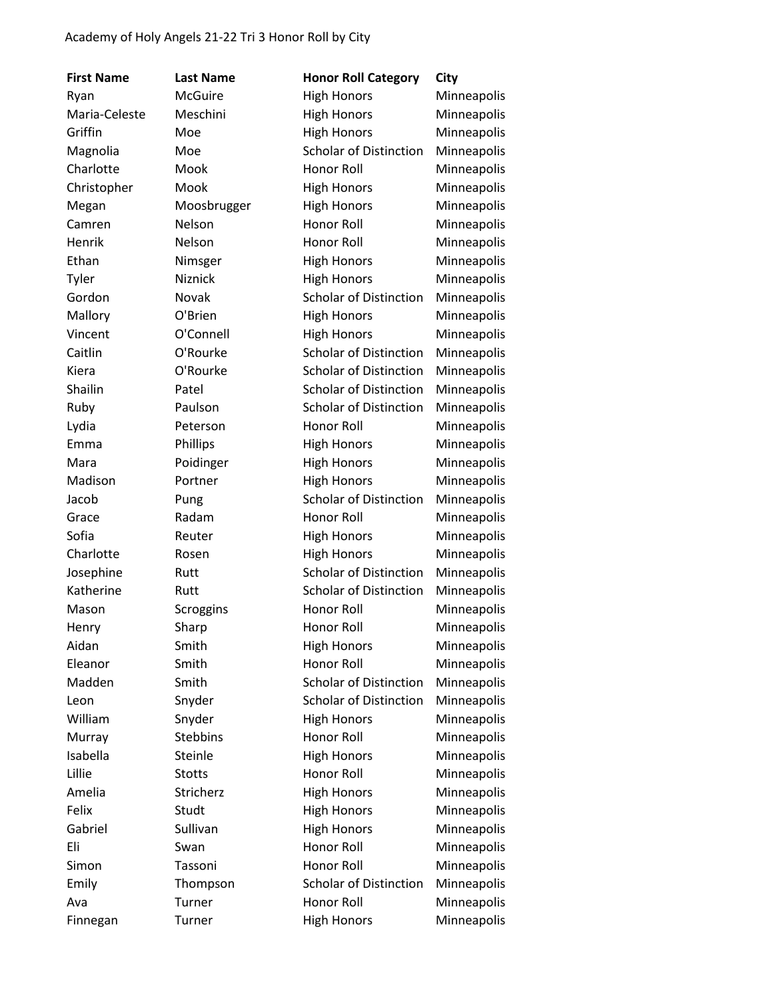| <b>First Name</b> | <b>Last Name</b> | <b>Honor Roll Category</b>    | City        |
|-------------------|------------------|-------------------------------|-------------|
| Ryan              | <b>McGuire</b>   | <b>High Honors</b>            | Minneapolis |
| Maria-Celeste     | Meschini         | <b>High Honors</b>            | Minneapolis |
| Griffin           | Moe              | <b>High Honors</b>            | Minneapolis |
| Magnolia          | Moe              | <b>Scholar of Distinction</b> | Minneapolis |
| Charlotte         | Mook             | Honor Roll                    | Minneapolis |
| Christopher       | Mook             | <b>High Honors</b>            | Minneapolis |
| Megan             | Moosbrugger      | <b>High Honors</b>            | Minneapolis |
| Camren            | Nelson           | <b>Honor Roll</b>             | Minneapolis |
| Henrik            | Nelson           | Honor Roll                    | Minneapolis |
| Ethan             | Nimsger          | <b>High Honors</b>            | Minneapolis |
| Tyler             | Niznick          | <b>High Honors</b>            | Minneapolis |
| Gordon            | Novak            | <b>Scholar of Distinction</b> | Minneapolis |
| Mallory           | O'Brien          | <b>High Honors</b>            | Minneapolis |
| Vincent           | O'Connell        | <b>High Honors</b>            | Minneapolis |
| Caitlin           | O'Rourke         | Scholar of Distinction        | Minneapolis |
| Kiera             | O'Rourke         | <b>Scholar of Distinction</b> | Minneapolis |
| Shailin           | Patel            | <b>Scholar of Distinction</b> | Minneapolis |
| Ruby              | Paulson          | <b>Scholar of Distinction</b> | Minneapolis |
| Lydia             | Peterson         | <b>Honor Roll</b>             | Minneapolis |
| Emma              | Phillips         | <b>High Honors</b>            | Minneapolis |
| Mara              | Poidinger        | <b>High Honors</b>            | Minneapolis |
| Madison           | Portner          | <b>High Honors</b>            | Minneapolis |
| Jacob             | Pung             | Scholar of Distinction        | Minneapolis |
| Grace             | Radam            | Honor Roll                    | Minneapolis |
| Sofia             | Reuter           | <b>High Honors</b>            | Minneapolis |
| Charlotte         | Rosen            | <b>High Honors</b>            | Minneapolis |
| Josephine         | Rutt             | <b>Scholar of Distinction</b> | Minneapolis |
| Katherine         | Rutt             | <b>Scholar of Distinction</b> | Minneapolis |
| Mason             | Scroggins        | Honor Roll                    | Minneapolis |
| Henry             | Sharp            | Honor Roll                    | Minneapolis |
| Aidan             | Smith            | <b>High Honors</b>            | Minneapolis |
| Eleanor           | Smith            | Honor Roll                    | Minneapolis |
| Madden            | Smith            | <b>Scholar of Distinction</b> | Minneapolis |
| Leon              | Snyder           | <b>Scholar of Distinction</b> | Minneapolis |
| William           | Snyder           | <b>High Honors</b>            | Minneapolis |
| Murray            | <b>Stebbins</b>  | Honor Roll                    | Minneapolis |
| Isabella          | Steinle          | <b>High Honors</b>            | Minneapolis |
| Lillie            | <b>Stotts</b>    | Honor Roll                    | Minneapolis |
| Amelia            | Stricherz        | <b>High Honors</b>            | Minneapolis |
| Felix             | Studt            | <b>High Honors</b>            | Minneapolis |
| Gabriel           | Sullivan         | <b>High Honors</b>            | Minneapolis |
| Eli               | Swan             | Honor Roll                    | Minneapolis |
| Simon             | Tassoni          | Honor Roll                    | Minneapolis |
| Emily             | Thompson         | <b>Scholar of Distinction</b> | Minneapolis |
| Ava               | Turner           | Honor Roll                    | Minneapolis |
| Finnegan          | Turner           | <b>High Honors</b>            | Minneapolis |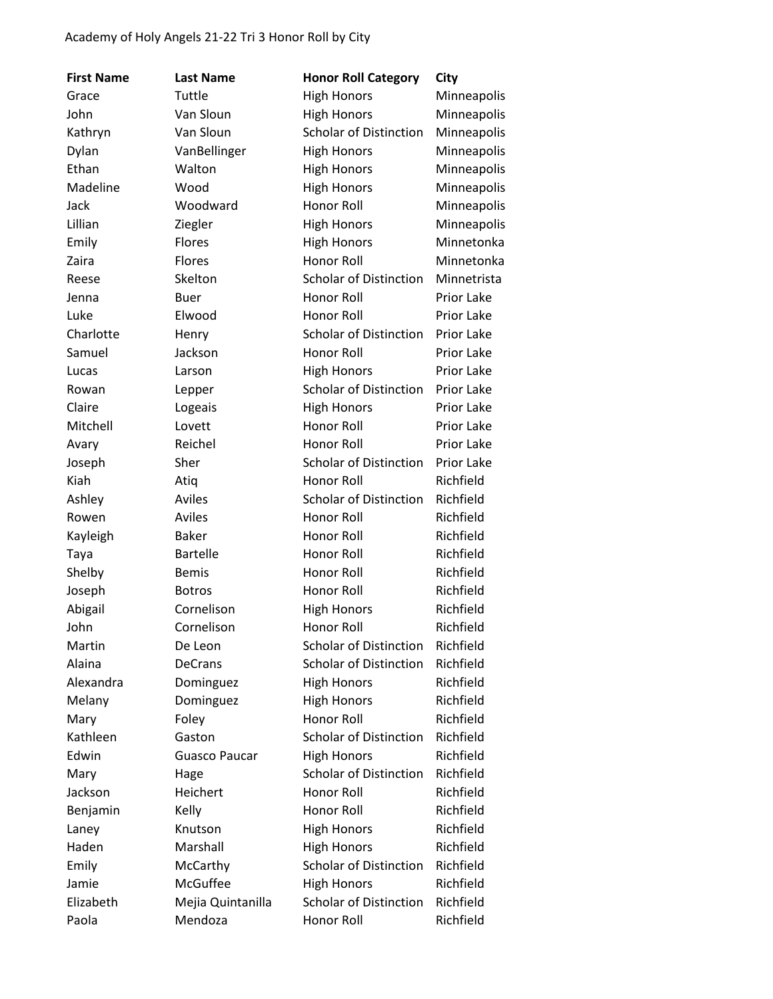| <b>First Name</b> | <b>Last Name</b>     | <b>Honor Roll Category</b>    | City        |
|-------------------|----------------------|-------------------------------|-------------|
| Grace             | Tuttle               | <b>High Honors</b>            | Minneapolis |
| John              | Van Sloun            | <b>High Honors</b>            | Minneapolis |
| Kathryn           | Van Sloun            | Scholar of Distinction        | Minneapolis |
| Dylan             | VanBellinger         | <b>High Honors</b>            | Minneapolis |
| Ethan             | Walton               | <b>High Honors</b>            | Minneapolis |
| Madeline          | Wood                 | <b>High Honors</b>            | Minneapolis |
| Jack              | Woodward             | <b>Honor Roll</b>             | Minneapolis |
| Lillian           | Ziegler              | <b>High Honors</b>            | Minneapolis |
| Emily             | Flores               | <b>High Honors</b>            | Minnetonka  |
| Zaira             | Flores               | Honor Roll                    | Minnetonka  |
| Reese             | Skelton              | <b>Scholar of Distinction</b> | Minnetrista |
| Jenna             | <b>Buer</b>          | Honor Roll                    | Prior Lake  |
| Luke              | Elwood               | Honor Roll                    | Prior Lake  |
| Charlotte         | Henry                | <b>Scholar of Distinction</b> | Prior Lake  |
| Samuel            | Jackson              | Honor Roll                    | Prior Lake  |
| Lucas             | Larson               | <b>High Honors</b>            | Prior Lake  |
| Rowan             | Lepper               | <b>Scholar of Distinction</b> | Prior Lake  |
| Claire            | Logeais              | <b>High Honors</b>            | Prior Lake  |
| Mitchell          | Lovett               | Honor Roll                    | Prior Lake  |
| Avary             | Reichel              | Honor Roll                    | Prior Lake  |
| Joseph            | Sher                 | <b>Scholar of Distinction</b> | Prior Lake  |
| Kiah              | Atiq                 | Honor Roll                    | Richfield   |
| Ashley            | Aviles               | <b>Scholar of Distinction</b> | Richfield   |
| Rowen             | <b>Aviles</b>        | Honor Roll                    | Richfield   |
| Kayleigh          | <b>Baker</b>         | Honor Roll                    | Richfield   |
| Taya              | <b>Bartelle</b>      | Honor Roll                    | Richfield   |
| Shelby            | <b>Bemis</b>         | Honor Roll                    | Richfield   |
| Joseph            | <b>Botros</b>        | Honor Roll                    | Richfield   |
| Abigail           | Cornelison           | <b>High Honors</b>            | Richfield   |
| John              | Cornelison           | Honor Roll                    | Richfield   |
| Martin            | De Leon              | <b>Scholar of Distinction</b> | Richfield   |
| Alaina            | <b>DeCrans</b>       | <b>Scholar of Distinction</b> | Richfield   |
| Alexandra         | Dominguez            | <b>High Honors</b>            | Richfield   |
| Melany            | Dominguez            | <b>High Honors</b>            | Richfield   |
| Mary              | Foley                | Honor Roll                    | Richfield   |
| Kathleen          | Gaston               | <b>Scholar of Distinction</b> | Richfield   |
| Edwin             | <b>Guasco Paucar</b> | <b>High Honors</b>            | Richfield   |
| Mary              | Hage                 | <b>Scholar of Distinction</b> | Richfield   |
| Jackson           | Heichert             | Honor Roll                    | Richfield   |
| Benjamin          | Kelly                | Honor Roll                    | Richfield   |
| Laney             | Knutson              | <b>High Honors</b>            | Richfield   |
| Haden             | Marshall             | <b>High Honors</b>            | Richfield   |
| Emily             | McCarthy             | Scholar of Distinction        | Richfield   |
| Jamie             | McGuffee             | <b>High Honors</b>            | Richfield   |
| Elizabeth         | Mejia Quintanilla    | <b>Scholar of Distinction</b> | Richfield   |
| Paola             | Mendoza              | Honor Roll                    | Richfield   |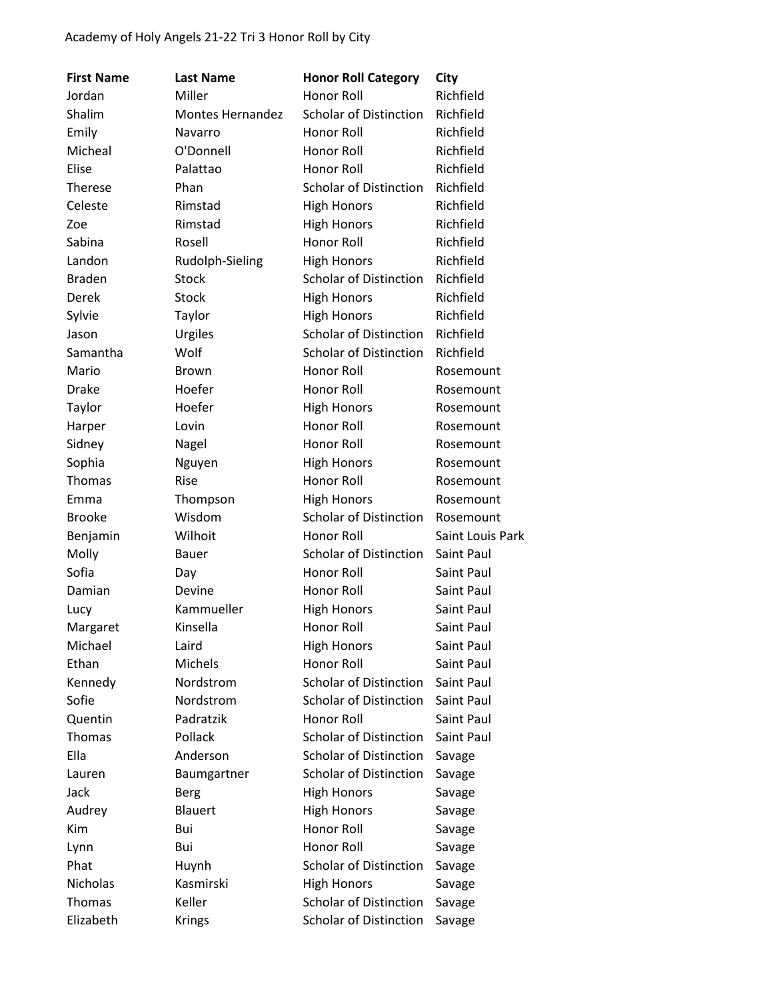| <b>First Name</b> | <b>Last Name</b> | <b>Honor Roll Category</b>    | City             |
|-------------------|------------------|-------------------------------|------------------|
| Jordan            | Miller           | Honor Roll                    | Richfield        |
| Shalim            | Montes Hernandez | <b>Scholar of Distinction</b> | Richfield        |
| Emily             | Navarro          | Honor Roll                    | Richfield        |
| Micheal           | O'Donnell        | Honor Roll                    | Richfield        |
| Elise             | Palattao         | Honor Roll                    | Richfield        |
| Therese           | Phan             | <b>Scholar of Distinction</b> | Richfield        |
| Celeste           | Rimstad          | <b>High Honors</b>            | Richfield        |
| Zoe               | Rimstad          | <b>High Honors</b>            | Richfield        |
| Sabina            | Rosell           | Honor Roll                    | Richfield        |
| Landon            | Rudolph-Sieling  | <b>High Honors</b>            | Richfield        |
| <b>Braden</b>     | Stock            | Scholar of Distinction        | Richfield        |
| Derek             | Stock            | <b>High Honors</b>            | Richfield        |
| Sylvie            | Taylor           | <b>High Honors</b>            | Richfield        |
| Jason             | Urgiles          | <b>Scholar of Distinction</b> | Richfield        |
| Samantha          | Wolf             | <b>Scholar of Distinction</b> | Richfield        |
| Mario             | <b>Brown</b>     | Honor Roll                    | Rosemount        |
| <b>Drake</b>      | Hoefer           | Honor Roll                    | Rosemount        |
| Taylor            | Hoefer           | <b>High Honors</b>            | Rosemount        |
| Harper            | Lovin            | Honor Roll                    | Rosemount        |
| Sidney            | Nagel            | Honor Roll                    | Rosemount        |
| Sophia            | Nguyen           | <b>High Honors</b>            | Rosemount        |
| Thomas            | Rise             | Honor Roll                    | Rosemount        |
| Emma              | Thompson         | <b>High Honors</b>            | Rosemount        |
| <b>Brooke</b>     | Wisdom           | <b>Scholar of Distinction</b> | Rosemount        |
| Benjamin          | Wilhoit          | Honor Roll                    | Saint Louis Park |
| Molly             | <b>Bauer</b>     | <b>Scholar of Distinction</b> | Saint Paul       |
| Sofia             | Day              | Honor Roll                    | Saint Paul       |
| Damian            | Devine           | Honor Roll                    | Saint Paul       |
| Lucy              | Kammueller       | <b>High Honors</b>            | Saint Paul       |
| Margaret          | Kinsella         | Honor Roll                    | Saint Paul       |
| Michael           | Laird            | <b>High Honors</b>            | Saint Paul       |
| Ethan             | Michels          | Honor Roll                    | Saint Paul       |
| Kennedy           | Nordstrom        | <b>Scholar of Distinction</b> | Saint Paul       |
| Sofie             | Nordstrom        | <b>Scholar of Distinction</b> | Saint Paul       |
| Quentin           | Padratzik        | Honor Roll                    | Saint Paul       |
| Thomas            | Pollack          | <b>Scholar of Distinction</b> | Saint Paul       |
| Ella              | Anderson         | <b>Scholar of Distinction</b> | Savage           |
| Lauren            | Baumgartner      | <b>Scholar of Distinction</b> | Savage           |
| Jack              | Berg             | <b>High Honors</b>            | Savage           |
| Audrey            | <b>Blauert</b>   | <b>High Honors</b>            | Savage           |
| Kim               | Bui              | Honor Roll                    | Savage           |
| Lynn              | Bui              | Honor Roll                    | Savage           |
| Phat              | Huynh            | <b>Scholar of Distinction</b> | Savage           |
| Nicholas          | Kasmirski        | <b>High Honors</b>            | Savage           |
| Thomas            | Keller           | <b>Scholar of Distinction</b> | Savage           |
| Elizabeth         | <b>Krings</b>    | <b>Scholar of Distinction</b> | Savage           |